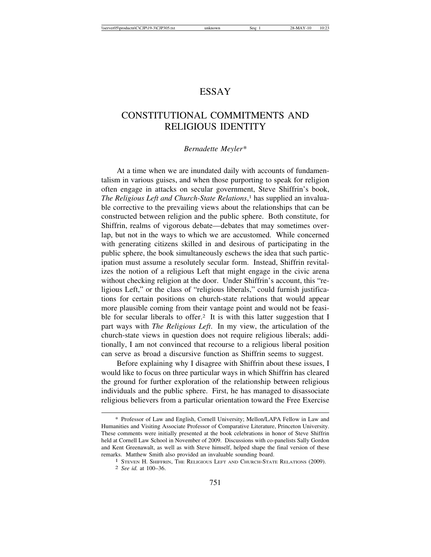## ESSAY

## CONSTITUTIONAL COMMITMENTS AND RELIGIOUS IDENTITY

## *Bernadette Meyler\**

At a time when we are inundated daily with accounts of fundamentalism in various guises, and when those purporting to speak for religion often engage in attacks on secular government, Steve Shiffrin's book, *The Religious Left and Church-State Relations*, 1 has supplied an invaluable corrective to the prevailing views about the relationships that can be constructed between religion and the public sphere. Both constitute, for Shiffrin, realms of vigorous debate—debates that may sometimes overlap, but not in the ways to which we are accustomed. While concerned with generating citizens skilled in and desirous of participating in the public sphere, the book simultaneously eschews the idea that such participation must assume a resolutely secular form. Instead, Shiffrin revitalizes the notion of a religious Left that might engage in the civic arena without checking religion at the door. Under Shiffrin's account, this "religious Left," or the class of "religious liberals," could furnish justifications for certain positions on church-state relations that would appear more plausible coming from their vantage point and would not be feasible for secular liberals to offer.<sup>2</sup> It is with this latter suggestion that I part ways with *The Religious Left*. In my view, the articulation of the church-state views in question does not require religious liberals; additionally, I am not convinced that recourse to a religious liberal position can serve as broad a discursive function as Shiffrin seems to suggest.

Before explaining why I disagree with Shiffrin about these issues, I would like to focus on three particular ways in which Shiffrin has cleared the ground for further exploration of the relationship between religious individuals and the public sphere. First, he has managed to disassociate religious believers from a particular orientation toward the Free Exercise

<sup>\*</sup> Professor of Law and English, Cornell University; Mellon/LAPA Fellow in Law and Humanities and Visiting Associate Professor of Comparative Literature, Princeton University. These comments were initially presented at the book celebrations in honor of Steve Shiffrin held at Cornell Law School in November of 2009. Discussions with co-panelists Sally Gordon and Kent Greenawalt, as well as with Steve himself, helped shape the final version of these remarks. Matthew Smith also provided an invaluable sounding board.

 $^1$  STEVEN H. SHIFFRIN, THE RELIGIOUS LEFT AND CHURCH-STATE RELATIONS (2009). 2 *See id.* at 100–36.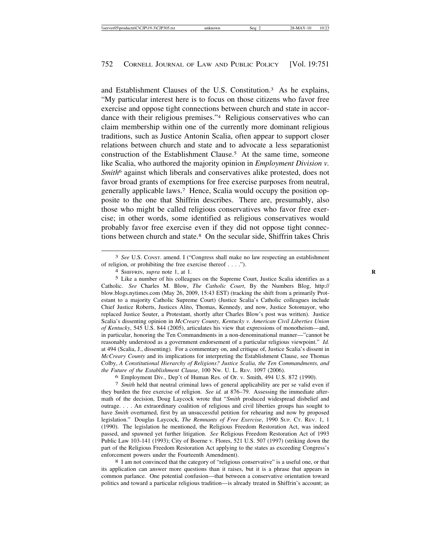and Establishment Clauses of the U.S. Constitution.3 As he explains, "My particular interest here is to focus on those citizens who favor free exercise and oppose tight connections between church and state in accordance with their religious premises."4 Religious conservatives who can claim membership within one of the currently more dominant religious traditions, such as Justice Antonin Scalia, often appear to support closer relations between church and state and to advocate a less separationist construction of the Establishment Clause.5 At the same time, someone like Scalia, who authored the majority opinion in *Employment Division v. Smith*6 against which liberals and conservatives alike protested, does not favor broad grants of exemptions for free exercise purposes from neutral, generally applicable laws.7 Hence, Scalia would occupy the position opposite to the one that Shiffrin describes. There are, presumably, also those who might be called religious conservatives who favor free exercise; in other words, some identified as religious conservatives would probably favor free exercise even if they did not oppose tight connections between church and state.8 On the secular side, Shiffrin takes Chris

5 Like a number of his colleagues on the Supreme Court, Justice Scalia identifies as a Catholic. *See* Charles M. Blow, *The Catholic Court*, By the Numbers Blog, http:// blow.blogs.nytimes.com (May 26, 2009, 15:43 EST) (tracking the shift from a primarily Protestant to a majority Catholic Supreme Court) (Justice Scalia's Catholic colleagues include Chief Justice Roberts, Justices Alito, Thomas, Kennedy, and now, Justice Sotomayor, who replaced Justice Souter, a Protestant, shortly after Charles Blow's post was written). Justice Scalia's dissenting opinion in *McCreary County, Kentucky v. American Civil Liberties Union of Kentucky*, 545 U.S. 844 (2005), articulates his view that expressions of monotheism—and, in particular, honoring the Ten Commandments in a non-denominational manner—"cannot be reasonably understood as a government endorsement of a particular religious viewpoint." *Id.* at 494 (Scalia, J., dissenting). For a commentary on, and critique of, Justice Scalia's dissent in *McCreary County* and its implications for interpreting the Establishment Clause, see Thomas Colby, *A Constitutional Hierarchy of Religions? Justice Scalia, the Ten Commandments, and the Future of the Establishment Clause*, 100 NW. U. L. REV. 1097 (2006).

<sup>6</sup> Employment Div., Dep't of Human Res. of Or. v. Smith, 494 U.S. 872 (1990). <sup>7</sup> *Smith* held that neutral criminal laws of general applicability are per se valid even if they burden the free exercise of religion. *See id.* at 876–79. Assessing the immediate aftermath of the decision, Doug Laycock wrote that "*Smith* produced widespread disbelief and outrage. . . . An extraordinary coalition of religious and civil liberties groups has sought to have *Smith* overturned, first by an unsuccessful petition for rehearing and now by proposed legislation." Douglas Laycock, *The Remnants of Free Exercise*, 1990 SUP. CT. REV. 1, 1 (1990). The legislation he mentioned, the Religious Freedom Restoration Act, was indeed passed, and spawned yet further litigation. *See* Religious Freedom Restoration Act of 1993 Public Law 103-141 (1993); City of Boerne v. Flores, 521 U.S. 507 (1997) (striking down the part of the Religious Freedom Restoration Act applying to the states as exceeding Congress's

enforcement powers under the Fourteenth Amendment).<br><sup>8</sup> I am not convinced that the category of "religious conservative" is a useful one, or that its application can answer more questions than it raises, but it is a phrase that appears in common parlance. One potential confusion—that between a conservative orientation toward politics and toward a particular religious tradition—is already treated in Shiffrin's account; as

<sup>3</sup> *See* U.S. CONST. amend. I ("Congress shall make no law respecting an establishment of religion, or prohibiting the free exercise thereof . . . ."). <sup>4</sup> SHIFFRIN, *supra* note 1, at 1. **<sup>R</sup>**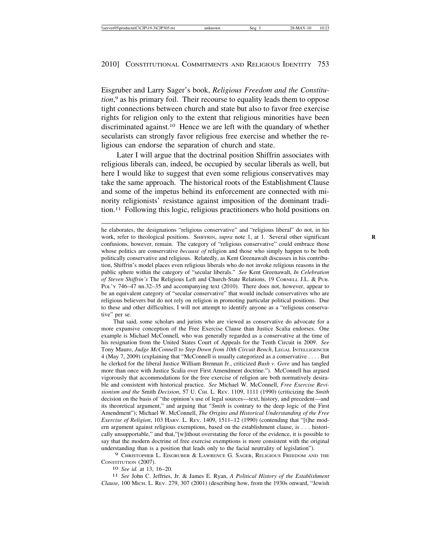Eisgruber and Larry Sager's book, *Religious Freedom and the Constitution*, 9 as his primary foil. Their recourse to equality leads them to oppose tight connections between church and state but also to favor free exercise rights for religion only to the extent that religious minorities have been discriminated against.10 Hence we are left with the quandary of whether secularists can strongly favor religious free exercise and whether the religious can endorse the separation of church and state.

Later I will argue that the doctrinal position Shiffrin associates with religious liberals can, indeed, be occupied by secular liberals as well, but here I would like to suggest that even some religious conservatives may take the same approach. The historical roots of the Establishment Clause and some of the impetus behind its enforcement are connected with minority religionists' resistance against imposition of the dominant tradition.11 Following this logic, religious practitioners who hold positions on

That said, some scholars and jurists who are viewed as conservative do advocate for a more expansive conception of the Free Exercise Clause than Justice Scalia endorses. One example is Michael McConnell, who was generally regarded as a conservative at the time of his resignation from the United States Court of Appeals for the Tenth Circuit in 2009. *See* Tony Mauro, *Judge McConnell to Step Down from 10th Circuit Bench*, LEGAL INTELLIGENCER 4 (May 7, 2009) (explaining that "McConnell is usually categorized as a conservative . . . . But he clerked for the liberal Justice William Brennan Jr., criticized *Bush v. Gore* and has tangled more than once with Justice Scalia over First Amendment doctrine."). McConnell has argued vigorously that accommodations for the free exercise of religion are both normatively desirable and consistent with historical practice. *See* Michael W. McConnell, *Free Exercise Revisionism and the* Smith *Decision*, 57 U. CHI. L. REV. 1109, 1111 (1990) (criticizing the *Smith* decision on the basis of "the opinion's use of legal sources—text, history, and precedent—and its theoretical argument," and arguing that "*Smith* is contrary to the deep logic of the First Amendment"); Michael W. McConnell, *The Origins and Historical Understanding of the Free Exercise of Religion*, 103 HARV. L. REV. 1409, 1511–12 (1990) (contending that "[t]he modern argument against religious exemptions, based on the establishment clause, is . . . historically unsupportable," and that,"[w]ithout overstating the force of the evidence, it is possible to say that the modern doctrine of free exercise exemptions is more consistent with the original understanding than is a position that leads only to the facial neutrality of legislation").

9 CHRISTOPHER L. EISGRUBER & LAWRENCE G. SAGER, RELIGIOUS FREEDOM AND THE CONSTITUTION (2007). <sup>10</sup> *See id.* at 13, 16–20. <sup>11</sup> *See* John C. Jeffries, Jr. & James E. Ryan, *A Political History of the Establishment*

*Clause*, 100 MICH. L. REV. 279, 307 (2001) (describing how, from the 1930s onward, "Jewish

he elaborates, the designations "religious conservative" and "religious liberal" do not, in his work, refer to theological positions. SHIFFRIN, *supra* note 1, at 1. Several other significant confusions, however, remain. The category of "religious conservative" could embrace those whose politics are conservative *because of* religion and those who simply happen to be both politically conservative and religious. Relatedly, as Kent Greenawalt discusses in his contribution, Shiffrin's model places even religious liberals who do not invoke religious reasons in the public sphere within the category of "secular liberals." *See* Kent Greenawalt, *In Celebration of Steven Shiffrin's* The Religious Left and Church-State Relations, 19 CORNELL J.L. & PUB. Poly 746–47 nn.32–35 and accompanying text (2010). There does not, however, appear to be an equivalent category of "secular conservative" that would include conservatives who are religious believers but do not rely on religion in promoting particular political positions. Due to these and other difficulties, I will not attempt to identify anyone as a "religious conservative" per se.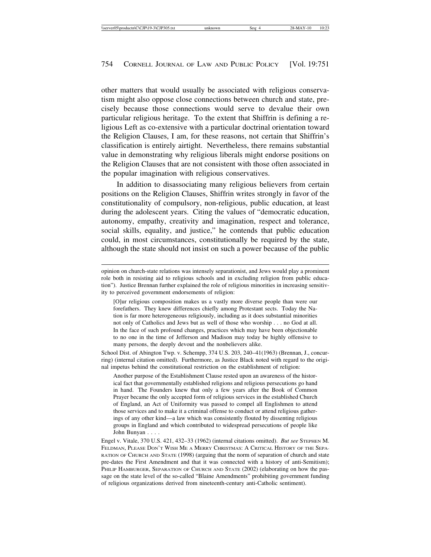other matters that would usually be associated with religious conservatism might also oppose close connections between church and state, precisely because those connections would serve to devalue their own particular religious heritage. To the extent that Shiffrin is defining a religious Left as co-extensive with a particular doctrinal orientation toward the Religion Clauses, I am, for these reasons, not certain that Shiffrin's classification is entirely airtight. Nevertheless, there remains substantial value in demonstrating why religious liberals might endorse positions on the Religion Clauses that are not consistent with those often associated in the popular imagination with religious conservatives.

In addition to disassociating many religious believers from certain positions on the Religion Clauses, Shiffrin writes strongly in favor of the constitutionality of compulsory, non-religious, public education, at least during the adolescent years. Citing the values of "democratic education, autonomy, empathy, creativity and imagination, respect and tolerance, social skills, equality, and justice," he contends that public education could, in most circumstances, constitutionally be required by the state, although the state should not insist on such a power because of the public

School Dist. of Abington Twp. v. Schempp, 374 U.S. 203, 240–41(1963) (Brennan, J., concurring) (internal citation omitted). Furthermore, as Justice Black noted with regard to the original impetus behind the constitutional restriction on the establishment of religion:

Another purpose of the Establishment Clause rested upon an awareness of the historical fact that governmentally established religions and religious persecutions go hand in hand. The Founders knew that only a few years after the Book of Common Prayer became the only accepted form of religious services in the established Church of England, an Act of Uniformity was passed to compel all Englishmen to attend those services and to make it a criminal offense to conduct or attend religious gatherings of any other kind—a law which was consistently flouted by dissenting religious groups in England and which contributed to widespread persecutions of people like John Bunyan . . . .

Engel v. Vitale, 370 U.S. 421, 432–33 (1962) (internal citations omitted). *But see* STEPHEN M. FELDMAN, PLEASE DON'T WISH ME A MERRY CHRISTMAS: A CRITICAL HISTORY OF THE SEPA-RATION OF CHURCH AND STATE (1998) (arguing that the norm of separation of church and state pre-dates the First Amendment and that it was connected with a history of anti-Semitism); PHILIP HAMBURGER, SEPARATION OF CHURCH AND STATE (2002) (elaborating on how the passage on the state level of the so-called "Blaine Amendments" prohibiting government funding of religious organizations derived from nineteenth-century anti-Catholic sentiment).

opinion on church-state relations was intensely separationist, and Jews would play a prominent role both in resisting aid to religious schools and in excluding religion from public education"). Justice Brennan further explained the role of religious minorities in increasing sensitivity to perceived government endorsements of religion:

<sup>[</sup>O]ur religious composition makes us a vastly more diverse people than were our forefathers. They knew differences chiefly among Protestant sects. Today the Nation is far more heterogeneous religiously, including as it does substantial minorities not only of Catholics and Jews but as well of those who worship . . . no God at all. In the face of such profound changes, practices which may have been objectionable to no one in the time of Jefferson and Madison may today be highly offensive to many persons, the deeply devout and the nonbelievers alike.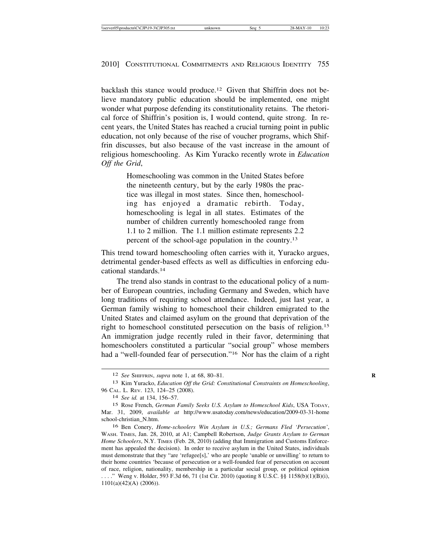backlash this stance would produce.12 Given that Shiffrin does not believe mandatory public education should be implemented, one might wonder what purpose defending its constitutionality retains. The rhetorical force of Shiffrin's position is, I would contend, quite strong. In recent years, the United States has reached a crucial turning point in public education, not only because of the rise of voucher programs, which Shiffrin discusses, but also because of the vast increase in the amount of religious homeschooling. As Kim Yuracko recently wrote in *Education Off the Grid*,

> Homeschooling was common in the United States before the nineteenth century, but by the early 1980s the practice was illegal in most states. Since then, homeschooling has enjoyed a dramatic rebirth. Today, homeschooling is legal in all states. Estimates of the number of children currently homeschooled range from 1.1 to 2 million. The 1.1 million estimate represents 2.2 percent of the school-age population in the country.13

This trend toward homeschooling often carries with it, Yuracko argues, detrimental gender-based effects as well as difficulties in enforcing educational standards.14

The trend also stands in contrast to the educational policy of a number of European countries, including Germany and Sweden, which have long traditions of requiring school attendance. Indeed, just last year, a German family wishing to homeschool their children emigrated to the United States and claimed asylum on the ground that deprivation of the right to homeschool constituted persecution on the basis of religion.15 An immigration judge recently ruled in their favor, determining that homeschoolers constituted a particular "social group" whose members had a "well-founded fear of persecution."16 Nor has the claim of a right

<sup>12</sup> *See* SHIFFRIN, *supra* note 1, at 68, 80–81. **R**

<sup>13</sup> Kim Yuracko, *Education Off the Grid: Constitutional Constraints on Homeschooling*, 96 CAL. L. REV. 123, 124–25 (2008).

<sup>14</sup> *See id.* at 134, 156–57.

<sup>15</sup> Rose French, *German Family Seeks U.S. Asylum to Homeschool Kids*, USA TODAY, Mar. 31, 2009, *available at* http://www.usatoday.com/news/education/2009-03-31-home school-christian\_N.htm.

<sup>16</sup> Ben Conery, *Home-schoolers Win Asylum in U.S.; Germans Fled 'Persecution'*, WASH. TIMES, Jan. 28, 2010, at A1; Campbell Robertson, *Judge Grants Asylum to German Home Schoolers*, N.Y. TIMES (Feb. 28, 2010) (adding that Immigration and Customs Enforcement has appealed the decision). In order to receive asylum in the United States, individuals must demonstrate that they "are 'refugee[s],' who are people 'unable or unwilling' to return to their home countries 'because of persecution or a well-founded fear of persecution on account of race, religion, nationality, membership in a particular social group, or political opinion . . . ." Weng v. Holder, 593 F.3d 66, 71 (1st Cir. 2010) (quoting 8 U.S.C. §§ 1158(b)(1)(B)(i), 1101(a)(42)(A) (2006)).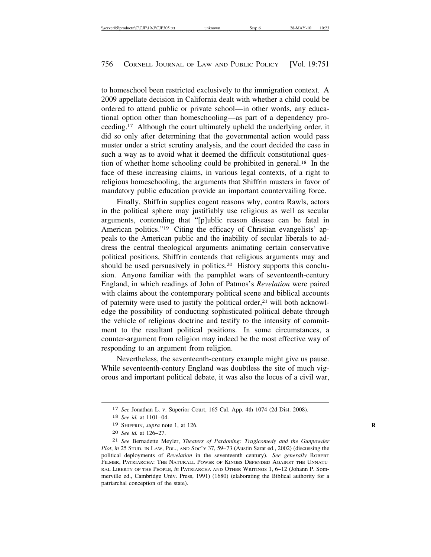to homeschool been restricted exclusively to the immigration context. A 2009 appellate decision in California dealt with whether a child could be ordered to attend public or private school—in other words, any educational option other than homeschooling—as part of a dependency proceeding.17 Although the court ultimately upheld the underlying order, it did so only after determining that the governmental action would pass muster under a strict scrutiny analysis, and the court decided the case in such a way as to avoid what it deemed the difficult constitutional question of whether home schooling could be prohibited in general.18 In the face of these increasing claims, in various legal contexts, of a right to religious homeschooling, the arguments that Shiffrin musters in favor of mandatory public education provide an important countervailing force.

Finally, Shiffrin supplies cogent reasons why, contra Rawls, actors in the political sphere may justifiably use religious as well as secular arguments, contending that "[p]ublic reason disease can be fatal in American politics."<sup>19</sup> Citing the efficacy of Christian evangelists' appeals to the American public and the inability of secular liberals to address the central theological arguments animating certain conservative political positions, Shiffrin contends that religious arguments may and should be used persuasively in politics.20 History supports this conclusion. Anyone familiar with the pamphlet wars of seventeenth-century England, in which readings of John of Patmos's *Revelation* were paired with claims about the contemporary political scene and biblical accounts of paternity were used to justify the political order, $21$  will both acknowledge the possibility of conducting sophisticated political debate through the vehicle of religious doctrine and testify to the intensity of commitment to the resultant political positions. In some circumstances, a counter-argument from religion may indeed be the most effective way of responding to an argument from religion.

Nevertheless, the seventeenth-century example might give us pause. While seventeenth-century England was doubtless the site of much vigorous and important political debate, it was also the locus of a civil war,

<sup>17</sup> *See* Jonathan L. v. Superior Court, 165 Cal. App. 4th 1074 (2d Dist. 2008).

<sup>18</sup> *See id.* at 1101–04.

<sup>19</sup> SHIFFRIN, *supra* note 1, at 126. **R**

<sup>20</sup> *See id.* at 126–27.

<sup>21</sup> *See* Bernadette Meyler, *Theaters of Pardoning: Tragicomedy and the Gunpowder Plot*, *in* 25 STUD. IN LAW, POL., AND Soc'y 37, 59-73 (Austin Sarat ed., 2002) (discussing the political deployments of *Revelation* in the seventeenth century). See generally ROBERT FILMER, PATRIARCHA: THE NATURALL POWER OF KINGES DEFENDED AGAINST THE UNNATU-RAL LIBERTY OF THE PEOPLE, *in* PATRIARCHA AND OTHER WRITINGS 1, 6–12 (Johann P. Sommerville ed., Cambridge Univ. Press, 1991) (1680) (elaborating the Biblical authority for a patriarchal conception of the state).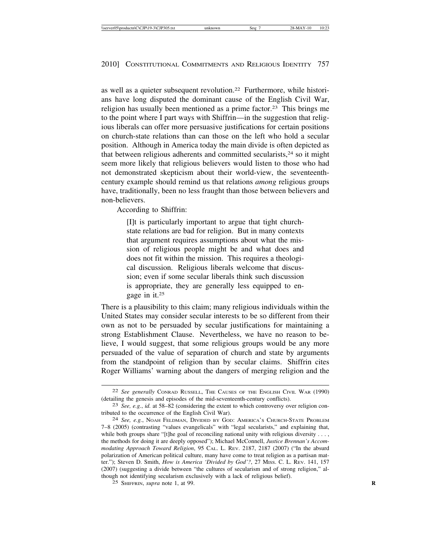as well as a quieter subsequent revolution.22 Furthermore, while historians have long disputed the dominant cause of the English Civil War, religion has usually been mentioned as a prime factor.23 This brings me to the point where I part ways with Shiffrin—in the suggestion that religious liberals can offer more persuasive justifications for certain positions on church-state relations than can those on the left who hold a secular position. Although in America today the main divide is often depicted as that between religious adherents and committed secularists, $24$  so it might seem more likely that religious believers would listen to those who had not demonstrated skepticism about their world-view, the seventeenthcentury example should remind us that relations *among* religious groups have, traditionally, been no less fraught than those between believers and non-believers.

According to Shiffrin:

[I]t is particularly important to argue that tight churchstate relations are bad for religion. But in many contexts that argument requires assumptions about what the mission of religious people might be and what does and does not fit within the mission. This requires a theological discussion. Religious liberals welcome that discussion; even if some secular liberals think such discussion is appropriate, they are generally less equipped to engage in it.25

There is a plausibility to this claim; many religious individuals within the United States may consider secular interests to be so different from their own as not to be persuaded by secular justifications for maintaining a strong Establishment Clause. Nevertheless, we have no reason to believe, I would suggest, that some religious groups would be any more persuaded of the value of separation of church and state by arguments from the standpoint of religion than by secular claims. Shiffrin cites Roger Williams' warning about the dangers of merging religion and the

<sup>22</sup> *See generally* CONRAD RUSSELL, THE CAUSES OF THE ENGLISH CIVIL WAR (1990)

<sup>(</sup>detailing the genesis and episodes of the mid-seventeenth-century conflicts).<br><sup>23</sup> *See, e.g., id.* at 58–82 (considering the extent to which controversy over religion con-<br>tributed to the occurrence of the English Civil

<sup>24</sup> See, e.g., NOAH FELDMAN, DIVIDED BY GOD: AMERICA'S CHURCH-STATE PROBLEM 7–8 (2005) (contrasting "values evangelicals" with "legal secularists," and explaining that, while both groups share "[t]he goal of reconciling national unity with religious diversity . . . , the methods for doing it are deeply opposed"); Michael McConnell, *Justice Brennan's Accommodating Approach Toward Religion*, 95 CAL. L. REV. 2187, 2187 (2007) ("In the absurd polarization of American political culture, many have come to treat religion as a partisan matter."); Steven D. Smith, *How is America 'Divided by God'?*, 27 MISS. C. L. REV. 141, 157 (2007) (suggesting a divide between "the cultures of secularism and of strong religion," although not identifying secularism exclusively with a lack of religious belief).

<sup>25</sup> SHIFFRIN, *supra* note 1, at 99. **R**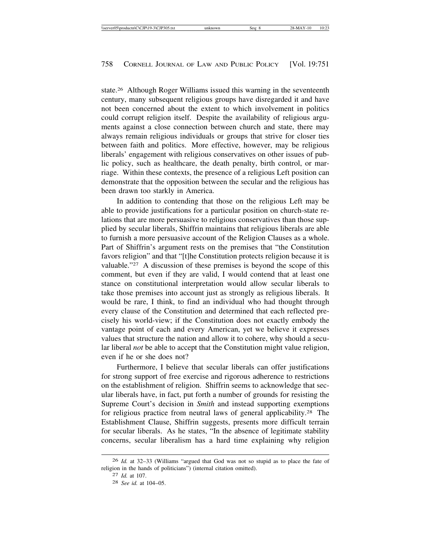state.26 Although Roger Williams issued this warning in the seventeenth century, many subsequent religious groups have disregarded it and have not been concerned about the extent to which involvement in politics could corrupt religion itself. Despite the availability of religious arguments against a close connection between church and state, there may always remain religious individuals or groups that strive for closer ties between faith and politics. More effective, however, may be religious liberals' engagement with religious conservatives on other issues of public policy, such as healthcare, the death penalty, birth control, or marriage. Within these contexts, the presence of a religious Left position can demonstrate that the opposition between the secular and the religious has been drawn too starkly in America.

In addition to contending that those on the religious Left may be able to provide justifications for a particular position on church-state relations that are more persuasive to religious conservatives than those supplied by secular liberals, Shiffrin maintains that religious liberals are able to furnish a more persuasive account of the Religion Clauses as a whole. Part of Shiffrin's argument rests on the premises that "the Constitution favors religion" and that "[t]he Constitution protects religion because it is valuable."27 A discussion of these premises is beyond the scope of this comment, but even if they are valid, I would contend that at least one stance on constitutional interpretation would allow secular liberals to take those premises into account just as strongly as religious liberals. It would be rare, I think, to find an individual who had thought through every clause of the Constitution and determined that each reflected precisely his world-view; if the Constitution does not exactly embody the vantage point of each and every American, yet we believe it expresses values that structure the nation and allow it to cohere, why should a secular liberal *not* be able to accept that the Constitution might value religion, even if he or she does not?

Furthermore, I believe that secular liberals can offer justifications for strong support of free exercise and rigorous adherence to restrictions on the establishment of religion. Shiffrin seems to acknowledge that secular liberals have, in fact, put forth a number of grounds for resisting the Supreme Court's decision in *Smith* and instead supporting exemptions for religious practice from neutral laws of general applicability.28 The Establishment Clause, Shiffrin suggests, presents more difficult terrain for secular liberals. As he states, "In the absence of legitimate stability concerns, secular liberalism has a hard time explaining why religion

<sup>26</sup> *Id.* at 32–33 (Williams "argued that God was not so stupid as to place the fate of religion in the hands of politicians") (internal citation omitted).

<sup>27</sup> *Id.* at 107.

<sup>28</sup> *See id.* at 104–05.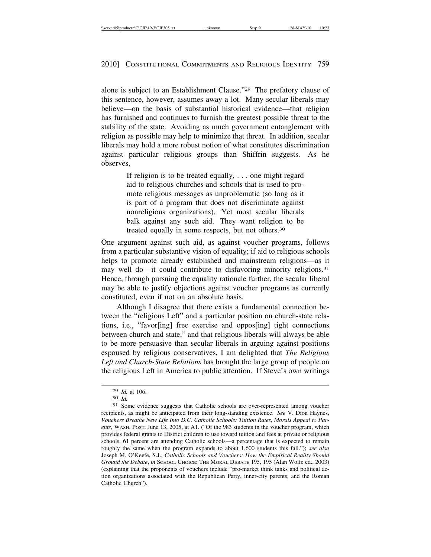alone is subject to an Establishment Clause."29 The prefatory clause of this sentence, however, assumes away a lot. Many secular liberals may believe—on the basis of substantial historical evidence—that religion has furnished and continues to furnish the greatest possible threat to the stability of the state. Avoiding as much government entanglement with religion as possible may help to minimize that threat. In addition, secular liberals may hold a more robust notion of what constitutes discrimination against particular religious groups than Shiffrin suggests. As he observes,

> If religion is to be treated equally, . . . one might regard aid to religious churches and schools that is used to promote religious messages as unproblematic (so long as it is part of a program that does not discriminate against nonreligious organizations). Yet most secular liberals balk against any such aid. They want religion to be treated equally in some respects, but not others.30

One argument against such aid, as against voucher programs, follows from a particular substantive vision of equality; if aid to religious schools helps to promote already established and mainstream religions—as it may well do—it could contribute to disfavoring minority religions.<sup>31</sup> Hence, through pursuing the equality rationale further, the secular liberal may be able to justify objections against voucher programs as currently constituted, even if not on an absolute basis.

Although I disagree that there exists a fundamental connection between the "religious Left" and a particular position on church-state relations, i.e., "favor[ing] free exercise and oppos[ing] tight connections between church and state," and that religious liberals will always be able to be more persuasive than secular liberals in arguing against positions espoused by religious conservatives, I am delighted that *The Religious Left and Church-State Relations* has brought the large group of people on the religious Left in America to public attention. If Steve's own writings

<sup>29</sup> *Id.* at 106. <sup>30</sup> *Id.* <sup>31</sup> Some evidence suggests that Catholic schools are over-represented among voucher recipients, as might be anticipated from their long-standing existence. *See* V. Dion Haynes, *Vouchers Breathe New Life Into D.C. Catholic Schools: Tuition Rates, Morals Appeal to Parents*, WASH. POST, June 13, 2005, at A1. ("Of the 983 students in the voucher program, which provides federal grants to District children to use toward tuition and fees at private or religious schools, 61 percent are attending Catholic schools—a percentage that is expected to remain roughly the same when the program expands to about 1,600 students this fall."); *see also* Joseph M. O'Keefe, S.J., *Catholic Schools and Vouchers: How the Empirical Reality Should Ground the Debate*, *in* SCHOOL CHOICE: THE MORAL DEBATE 195, 195 (Alan Wolfe ed., 2003) (explaining that the proponents of vouchers include "pro-market think tanks and political action organizations associated with the Republican Party, inner-city parents, and the Roman Catholic Church").